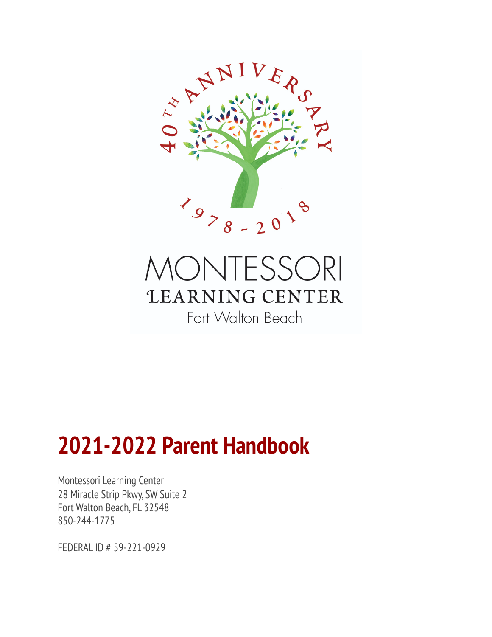

# **IONTESSORI LEARNING CENTER** Fort Walton Beach

# **2021-2022 Parent Handbook**

Montessori Learning Center 28 Miracle Strip Pkwy, SW Suite 2 Fort Walton Beach, FL 32548 850-244-1775

FEDERAL ID # 59-221-0929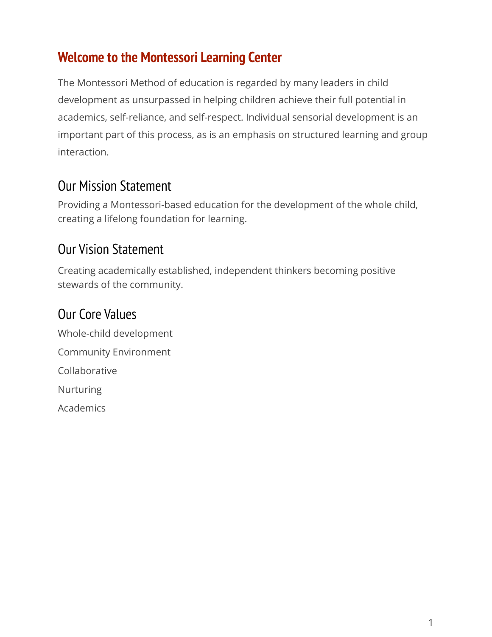#### <span id="page-1-0"></span>**Welcome to the Montessori Learning Center**

The Montessori Method of education is regarded by many leaders in child development as unsurpassed in helping children achieve their full potential in academics, self-reliance, and self-respect. Individual sensorial development is an important part of this process, as is an emphasis on structured learning and group interaction.

#### <span id="page-1-1"></span>Our Mission Statement

Providing a Montessori-based education for the development of the whole child, creating a lifelong foundation for learning.

#### <span id="page-1-2"></span>Our Vision Statement

Creating academically established, independent thinkers becoming positive stewards of the community.

# <span id="page-1-3"></span>Our Core Values

Whole-child development Community Environment Collaborative Nurturing Academics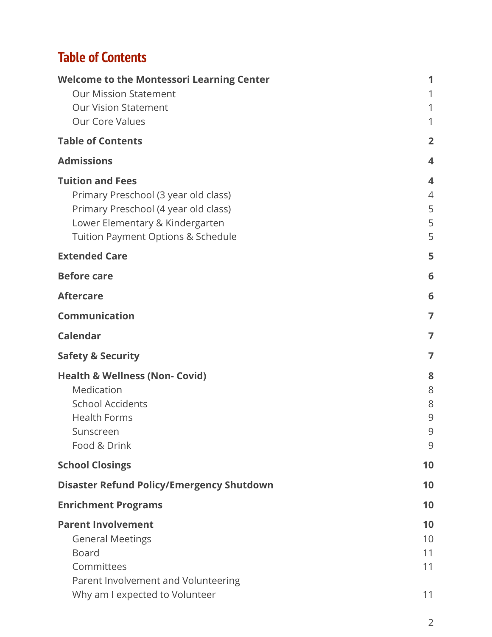# **Table of Contents**

| <b>Welcome to the Montessori Learning Center</b> | 1              |
|--------------------------------------------------|----------------|
| <b>Our Mission Statement</b>                     | 1              |
| <b>Our Vision Statement</b>                      | 1              |
| <b>Our Core Values</b>                           | 1              |
| <b>Table of Contents</b>                         | $\overline{2}$ |
| <b>Admissions</b>                                | 4              |
| <b>Tuition and Fees</b>                          | 4              |
| Primary Preschool (3 year old class)             | $\overline{4}$ |
| Primary Preschool (4 year old class)             | 5              |
| Lower Elementary & Kindergarten                  | 5              |
| Tuition Payment Options & Schedule               | 5              |
| <b>Extended Care</b>                             | 5              |
| <b>Before care</b>                               | 6              |
| <b>Aftercare</b>                                 | 6              |
| <b>Communication</b>                             | 7              |
| <b>Calendar</b>                                  | 7              |
| <b>Safety &amp; Security</b>                     | 7              |
| <b>Health &amp; Wellness (Non- Covid)</b>        | 8              |
| Medication                                       | 8              |
| <b>School Accidents</b>                          | 8              |
| <b>Health Forms</b>                              | 9              |
| Sunscreen                                        | 9              |
| Food & Drink                                     | 9              |
| <b>School Closings</b>                           | 10             |
| <b>Disaster Refund Policy/Emergency Shutdown</b> | 10             |
| <b>Enrichment Programs</b>                       | 10             |
| <b>Parent Involvement</b>                        | 10             |
| <b>General Meetings</b>                          | 10             |
| <b>Board</b>                                     | 11             |
| Committees                                       | 11             |
| Parent Involvement and Volunteering              |                |
| Why am I expected to Volunteer                   | 11             |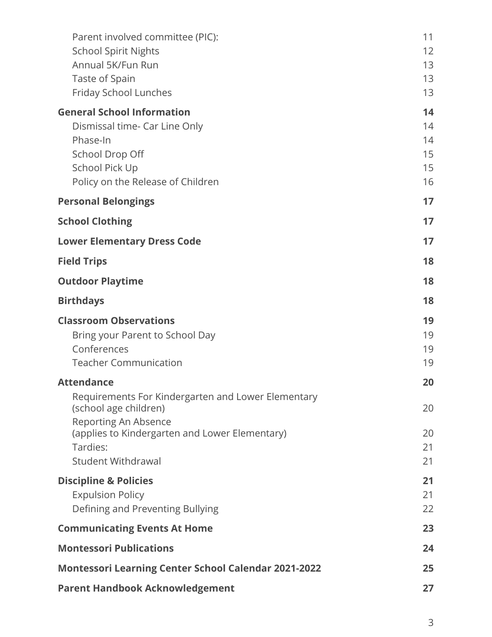| Parent involved committee (PIC):<br><b>School Spirit Nights</b><br>Annual 5K/Fun Run<br>Taste of Spain<br>Friday School Lunches                          | 11<br>12<br>13<br>13<br>13       |
|----------------------------------------------------------------------------------------------------------------------------------------------------------|----------------------------------|
| <b>General School Information</b><br>Dismissal time- Car Line Only<br>Phase-In<br>School Drop Off<br>School Pick Up<br>Policy on the Release of Children | 14<br>14<br>14<br>15<br>15<br>16 |
| <b>Personal Belongings</b>                                                                                                                               | 17                               |
| <b>School Clothing</b>                                                                                                                                   | 17                               |
| <b>Lower Elementary Dress Code</b>                                                                                                                       | 17                               |
| <b>Field Trips</b>                                                                                                                                       | 18                               |
| <b>Outdoor Playtime</b>                                                                                                                                  | 18                               |
| <b>Birthdays</b>                                                                                                                                         | 18                               |
| <b>Classroom Observations</b><br>Bring your Parent to School Day<br>Conferences<br><b>Teacher Communication</b>                                          | 19<br>19<br>19<br>19             |
| <b>Attendance</b>                                                                                                                                        | 20                               |
| Requirements For Kindergarten and Lower Elementary<br>(school age children)<br>Reporting An Absence                                                      | 20                               |
| (applies to Kindergarten and Lower Elementary)<br>Tardies:<br><b>Student Withdrawal</b>                                                                  | 20<br>21<br>21                   |
| <b>Discipline &amp; Policies</b><br><b>Expulsion Policy</b><br>Defining and Preventing Bullying                                                          | 21<br>21<br>22                   |
| <b>Communicating Events At Home</b>                                                                                                                      | 23                               |
| <b>Montessori Publications</b>                                                                                                                           | 24                               |
| <b>Montessori Learning Center School Calendar 2021-2022</b>                                                                                              | 25                               |
| <b>Parent Handbook Acknowledgement</b>                                                                                                                   | 27                               |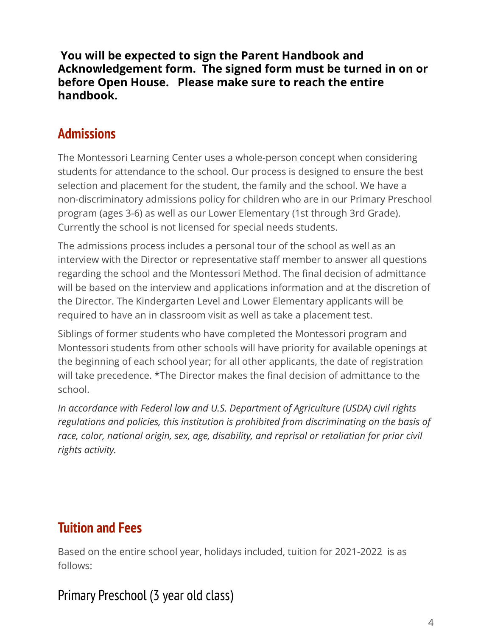**You will be expected to sign the Parent Handbook and Acknowledgement form. The signed form must be turned in on or before Open House. Please make sure to reach the entire handbook.**

#### <span id="page-4-0"></span>**Admissions**

The Montessori Learning Center uses a whole-person concept when considering students for attendance to the school. Our process is designed to ensure the best selection and placement for the student, the family and the school. We have a non-discriminatory admissions policy for children who are in our Primary Preschool program (ages 3-6) as well as our Lower Elementary (1st through 3rd Grade). Currently the school is not licensed for special needs students.

The admissions process includes a personal tour of the school as well as an interview with the Director or representative staff member to answer all questions regarding the school and the Montessori Method. The final decision of admittance will be based on the interview and applications information and at the discretion of the Director. The Kindergarten Level and Lower Elementary applicants will be required to have an in classroom visit as well as take a placement test.

Siblings of former students who have completed the Montessori program and Montessori students from other schools will have priority for available openings at the beginning of each school year; for all other applicants, the date of registration will take precedence. \*The Director makes the final decision of admittance to the school.

<span id="page-4-1"></span>*In accordance with Federal law and U.S. Department of Agriculture (USDA) civil rights regulations and policies, this institution is prohibited from discriminating on the basis of race, color, national origin, sex, age, disability, and reprisal or retaliation for prior civil rights activity.*

#### **Tuition and Fees**

Based on the entire school year, holidays included, tuition for 2021-2022 is as follows:

#### <span id="page-4-2"></span>Primary Preschool (3 year old class)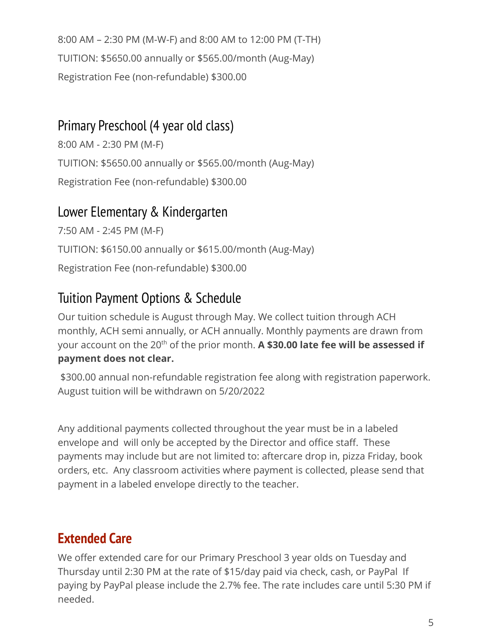8:00 AM – 2:30 PM (M-W-F) and 8:00 AM to 12:00 PM (T-TH) TUITION: \$5650.00 annually or \$565.00/month (Aug-May) Registration Fee (non-refundable) \$300.00

#### <span id="page-5-0"></span>Primary Preschool (4 year old class)

8:00 AM - 2:30 PM (M-F) TUITION: \$5650.00 annually or \$565.00/month (Aug-May) Registration Fee (non-refundable) \$300.00

#### <span id="page-5-1"></span>Lower Elementary & Kindergarten

7:50 AM - 2:45 PM (M-F) TUITION: \$6150.00 annually or \$615.00/month (Aug-May) Registration Fee (non-refundable) \$300.00

#### <span id="page-5-2"></span>Tuition Payment Options & Schedule

Our tuition schedule is August through May. We collect tuition through ACH monthly, ACH semi annually, or ACH annually. Monthly payments are drawn from your account on the 20<sup>th</sup> of the prior month. **A \$30.00 late fee will be assessed if payment does not clear.**

\$300.00 annual non-refundable registration fee along with registration paperwork. August tuition will be withdrawn on 5/20/2022

Any additional payments collected throughout the year must be in a labeled envelope and will only be accepted by the Director and office staff. These payments may include but are not limited to: aftercare drop in, pizza Friday, book orders, etc. Any classroom activities where payment is collected, please send that payment in a labeled envelope directly to the teacher.

# <span id="page-5-3"></span>**Extended Care**

We offer extended care for our Primary Preschool 3 year olds on Tuesday and Thursday until 2:30 PM at the rate of \$15/day paid via check, cash, or PayPal If paying by PayPal please include the 2.7% fee. The rate includes care until 5:30 PM if needed.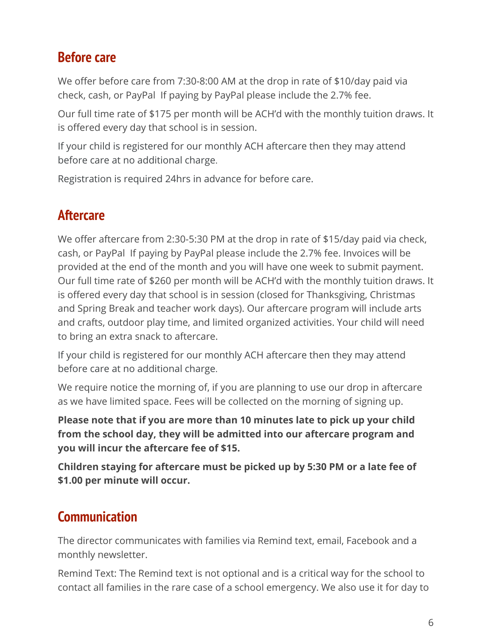#### <span id="page-6-0"></span>**Before care**

We offer before care from 7:30-8:00 AM at the drop in rate of \$10/day paid via check, cash, or PayPal If paying by PayPal please include the 2.7% fee.

Our full time rate of \$175 per month will be ACH'd with the monthly tuition draws. It is offered every day that school is in session.

If your child is registered for our monthly ACH aftercare then they may attend before care at no additional charge.

<span id="page-6-1"></span>Registration is required 24hrs in advance for before care.

#### **Aftercare**

We offer aftercare from 2:30-5:30 PM at the drop in rate of \$15/day paid via check, cash, or PayPal If paying by PayPal please include the 2.7% fee. Invoices will be provided at the end of the month and you will have one week to submit payment. Our full time rate of \$260 per month will be ACH'd with the monthly tuition draws. It is offered every day that school is in session (closed for Thanksgiving, Christmas and Spring Break and teacher work days). Our aftercare program will include arts and crafts, outdoor play time, and limited organized activities. Your child will need to bring an extra snack to aftercare.

If your child is registered for our monthly ACH aftercare then they may attend before care at no additional charge.

We require notice the morning of, if you are planning to use our drop in aftercare as we have limited space. Fees will be collected on the morning of signing up.

**Please note that if you are more than 10 minutes late to pick up your child from the school day, they will be admitted into our aftercare program and you will incur the aftercare fee of \$15.**

**Children staying for aftercare must be picked up by 5:30 PM or a late fee of \$1.00 per minute will occur.**

#### **Communication**

The director communicates with families via Remind text, email, Facebook and a monthly newsletter.

Remind Text: The Remind text is not optional and is a critical way for the school to contact all families in the rare case of a school emergency. We also use it for day to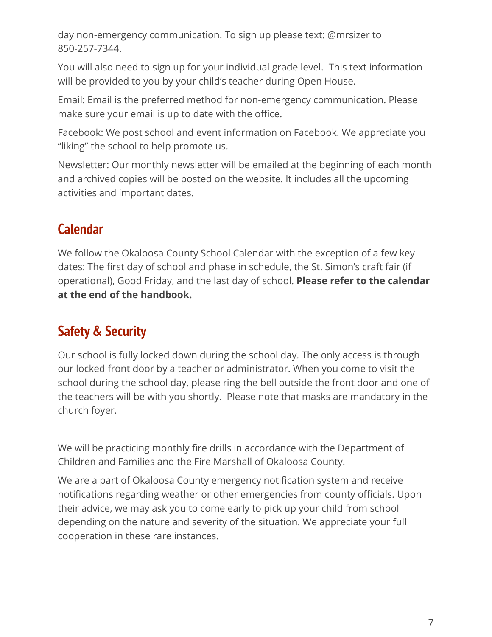day non-emergency communication. To sign up please text: @mrsizer to 850-257-7344.

You will also need to sign up for your individual grade level. This text information will be provided to you by your child's teacher during Open House.

Email: Email is the preferred method for non-emergency communication. Please make sure your email is up to date with the office.

Facebook: We post school and event information on Facebook. We appreciate you "liking" the school to help promote us.

Newsletter: Our monthly newsletter will be emailed at the beginning of each month and archived copies will be posted on the website. It includes all the upcoming activities and important dates.

#### <span id="page-7-0"></span>**Calendar**

We follow the Okaloosa County School Calendar with the exception of a few key dates: The first day of school and phase in schedule, the St. Simon's craft fair (if operational), Good Friday, and the last day of school. **Please refer to the calendar at the end of the handbook.**

#### <span id="page-7-1"></span>**Safety & Security**

Our school is fully locked down during the school day. The only access is through our locked front door by a teacher or administrator. When you come to visit the school during the school day, please ring the bell outside the front door and one of the teachers will be with you shortly. Please note that masks are mandatory in the church foyer.

We will be practicing monthly fire drills in accordance with the Department of Children and Families and the Fire Marshall of Okaloosa County.

We are a part of Okaloosa County emergency notification system and receive notifications regarding weather or other emergencies from county officials. Upon their advice, we may ask you to come early to pick up your child from school depending on the nature and severity of the situation. We appreciate your full cooperation in these rare instances.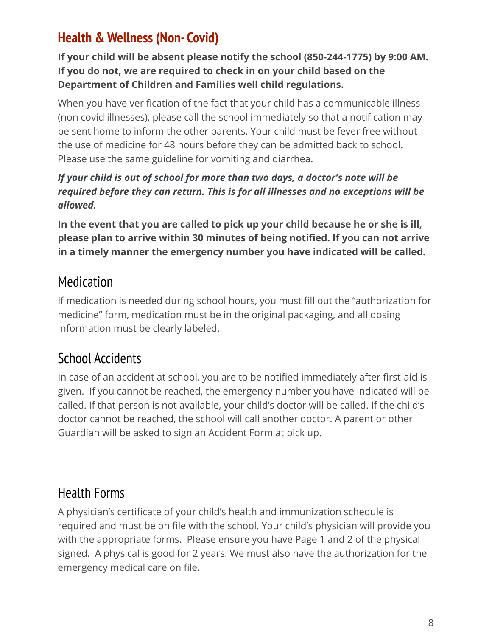### <span id="page-8-0"></span>**Health & Wellness (Non- Covid)**

**If your child will be absent please notify the school (850-244-1775) by 9:00 AM. If you do not, we are required to check in on your child based on the Department of Children and Families well child regulations.**

When you have verification of the fact that your child has a communicable illness (non covid illnesses), please call the school immediately so that a notification may be sent home to inform the other parents. Your child must be fever free without the use of medicine for 48 hours before they can be admitted back to school. Please use the same guideline for vomiting and diarrhea.

#### *If your child is out of school for more than two days, a doctor's note will be required before they can return. This is for all illnesses and no exceptions will be allowed.*

**In the event that you are called to pick up your child because he or she is ill, please plan to arrive within 30 minutes of being notified. If you can not arrive in a timely manner the emergency number you have indicated will be called.**

#### <span id="page-8-1"></span>Medication

If medication is needed during school hours, you must fill out the "authorization for medicine" form, medication must be in the original packaging, and all dosing information must be clearly labeled.

# <span id="page-8-2"></span>School Accidents

In case of an accident at school, you are to be notified immediately after first-aid is given. If you cannot be reached, the emergency number you have indicated will be called. If that person is not available, your child's doctor will be called. If the child's doctor cannot be reached, the school will call another doctor. A parent or other Guardian will be asked to sign an Accident Form at pick up.

#### <span id="page-8-3"></span>Health Forms

<span id="page-8-4"></span>A physician's certificate of your child's health and immunization schedule is required and must be on file with the school. Your child's physician will provide you with the appropriate forms. Please ensure you have Page 1 and 2 of the physical signed. A physical is good for 2 years. We must also have the authorization for the emergency medical care on file.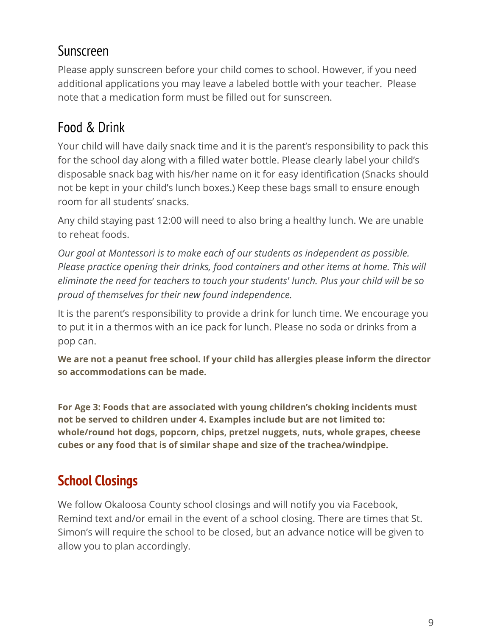#### Sunscreen

Please apply sunscreen before your child comes to school. However, if you need additional applications you may leave a labeled bottle with your teacher. Please note that a medication form must be filled out for sunscreen.

#### <span id="page-9-0"></span>Food & Drink

Your child will have daily snack time and it is the parent's responsibility to pack this for the school day along with a filled water bottle. Please clearly label your child's disposable snack bag with his/her name on it for easy identification (Snacks should not be kept in your child's lunch boxes.) Keep these bags small to ensure enough room for all students' snacks.

Any child staying past 12:00 will need to also bring a healthy lunch. We are unable to reheat foods.

*Our goal at Montessori is to make each of our students as independent as possible. Please practice opening their drinks, food containers and other items at home. This will eliminate the need for teachers to touch your students' lunch. Plus your child will be so proud of themselves for their new found independence.*

It is the parent's responsibility to provide a drink for lunch time. We encourage you to put it in a thermos with an ice pack for lunch. Please no soda or drinks from a pop can.

**We are not a peanut free school. If your child has allergies please inform the director so accommodations can be made.**

**For Age 3: Foods that are associated with young children's choking incidents must not be served to children under 4. Examples include but are not limited to: whole/round hot dogs, popcorn, chips, pretzel nuggets, nuts, whole grapes, cheese cubes or any food that is of similar shape and size of the trachea/windpipe.**

# <span id="page-9-1"></span>**School Closings**

We follow Okaloosa County school closings and will notify you via Facebook, Remind text and/or email in the event of a school closing. There are times that St. Simon's will require the school to be closed, but an advance notice will be given to allow you to plan accordingly.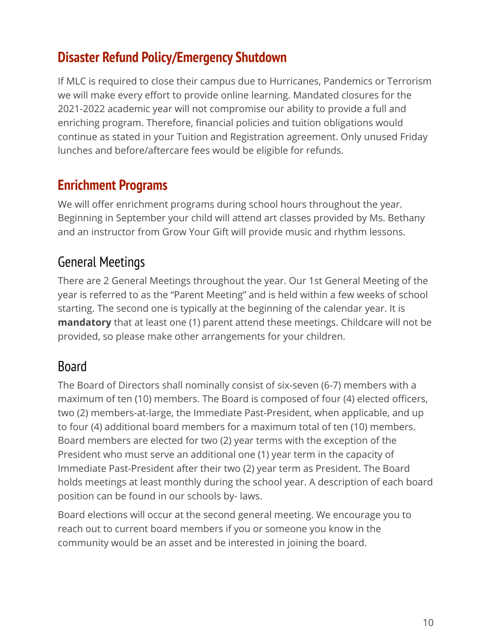#### <span id="page-10-0"></span>**Disaster Refund Policy/Emergency Shutdown**

If MLC is required to close their campus due to Hurricanes, Pandemics or Terrorism we will make every effort to provide online learning. Mandated closures for the 2021-2022 academic year will not compromise our ability to provide a full and enriching program. Therefore, financial policies and tuition obligations would continue as stated in your Tuition and Registration agreement. Only unused Friday lunches and before/aftercare fees would be eligible for refunds.

#### <span id="page-10-1"></span>**Enrichment Programs**

We will offer enrichment programs during school hours throughout the year. Beginning in September your child will attend art classes provided by Ms. Bethany and an instructor from Grow Your Gift will provide music and rhythm lessons.

#### <span id="page-10-2"></span>General Meetings

There are 2 General Meetings throughout the year. Our 1st General Meeting of the year is referred to as the "Parent Meeting" and is held within a few weeks of school starting. The second one is typically at the beginning of the calendar year. It is **mandatory** that at least one (1) parent attend these meetings. Childcare will not be provided, so please make other arrangements for your children.

#### <span id="page-10-3"></span>Board

The Board of Directors shall nominally consist of six-seven (6-7) members with a maximum of ten (10) members. The Board is composed of four (4) elected officers, two (2) members-at-large, the Immediate Past-President, when applicable, and up to four (4) additional board members for a maximum total of ten (10) members. Board members are elected for two (2) year terms with the exception of the President who must serve an additional one (1) year term in the capacity of Immediate Past-President after their two (2) year term as President. The Board holds meetings at least monthly during the school year. A description of each board position can be found in our schools by- laws.

<span id="page-10-4"></span>Board elections will occur at the second general meeting. We encourage you to reach out to current board members if you or someone you know in the community would be an asset and be interested in joining the board.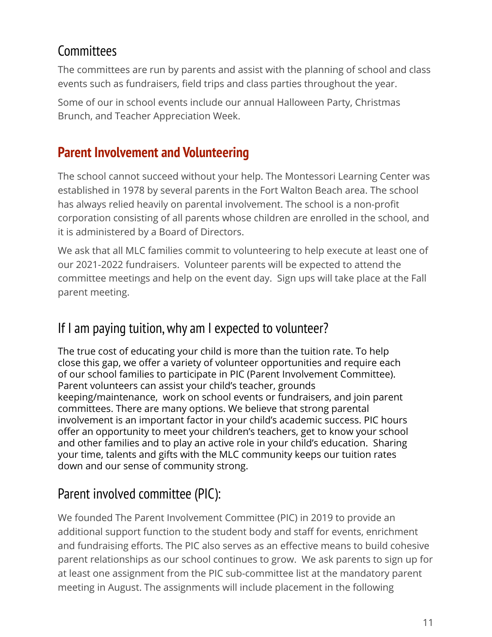#### **Committees**

The committees are run by parents and assist with the planning of school and class events such as fundraisers, field trips and class parties throughout the year.

Some of our in school events include our annual Halloween Party, Christmas Brunch, and Teacher Appreciation Week.

#### **Parent Involvement and Volunteering**

The school cannot succeed without your help. The Montessori Learning Center was established in 1978 by several parents in the Fort Walton Beach area. The school has always relied heavily on parental involvement. The school is a non-profit corporation consisting of all parents whose children are enrolled in the school, and it is administered by a Board of Directors.

We ask that all MLC families commit to volunteering to help execute at least one of our 2021-2022 fundraisers. Volunteer parents will be expected to attend the committee meetings and help on the event day. Sign ups will take place at the Fall parent meeting.

#### If I am paying tuition,why am I expected to volunteer?

The true cost of educating your child is more than the tuition rate. To help close this gap, we offer a variety of volunteer opportunities and require each of our school families to participate in PIC (Parent Involvement Committee). Parent volunteers can assist your child's teacher, grounds keeping/maintenance, work on school events or fundraisers, and join parent committees. There are many options. We believe that strong parental involvement is an important factor in your child's academic success. PIC hours offer an opportunity to meet your children's teachers, get to know your school and other families and to play an active role in your child's education. Sharing your time, talents and gifts with the MLC community keeps our tuition rates down and our sense of community strong.

# <span id="page-11-0"></span>Parent involved committee (PIC):

We founded The Parent Involvement Committee (PIC) in 2019 to provide an additional support function to the student body and staff for events, enrichment and fundraising efforts. The PIC also serves as an effective means to build cohesive parent relationships as our school continues to grow. We ask parents to sign up for at least one assignment from the PIC sub-committee list at the mandatory parent meeting in August. The assignments will include placement in the following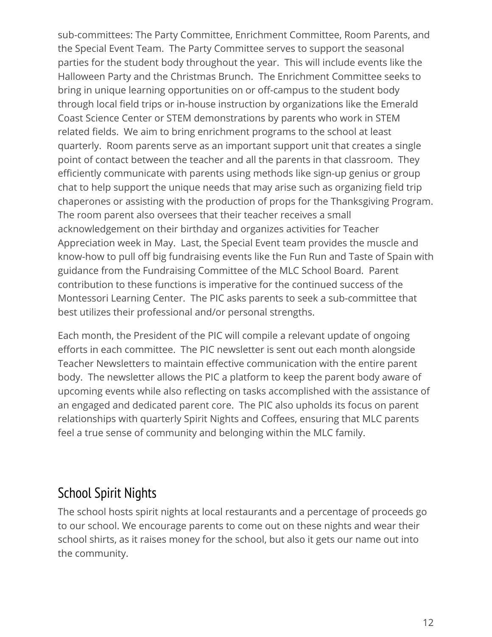sub-committees: The Party Committee, Enrichment Committee, Room Parents, and the Special Event Team. The Party Committee serves to support the seasonal parties for the student body throughout the year. This will include events like the Halloween Party and the Christmas Brunch. The Enrichment Committee seeks to bring in unique learning opportunities on or off-campus to the student body through local field trips or in-house instruction by organizations like the Emerald Coast Science Center or STEM demonstrations by parents who work in STEM related fields. We aim to bring enrichment programs to the school at least quarterly. Room parents serve as an important support unit that creates a single point of contact between the teacher and all the parents in that classroom. They efficiently communicate with parents using methods like sign-up genius or group chat to help support the unique needs that may arise such as organizing field trip chaperones or assisting with the production of props for the Thanksgiving Program. The room parent also oversees that their teacher receives a small acknowledgement on their birthday and organizes activities for Teacher Appreciation week in May. Last, the Special Event team provides the muscle and know-how to pull off big fundraising events like the Fun Run and Taste of Spain with guidance from the Fundraising Committee of the MLC School Board. Parent contribution to these functions is imperative for the continued success of the Montessori Learning Center. The PIC asks parents to seek a sub-committee that best utilizes their professional and/or personal strengths.

Each month, the President of the PIC will compile a relevant update of ongoing efforts in each committee. The PIC newsletter is sent out each month alongside Teacher Newsletters to maintain effective communication with the entire parent body. The newsletter allows the PIC a platform to keep the parent body aware of upcoming events while also reflecting on tasks accomplished with the assistance of an engaged and dedicated parent core. The PIC also upholds its focus on parent relationships with quarterly Spirit Nights and Coffees, ensuring that MLC parents feel a true sense of community and belonging within the MLC family.

#### School Spirit Nights

<span id="page-12-0"></span>The school hosts spirit nights at local restaurants and a percentage of proceeds go to our school. We encourage parents to come out on these nights and wear their school shirts, as it raises money for the school, but also it gets our name out into the community.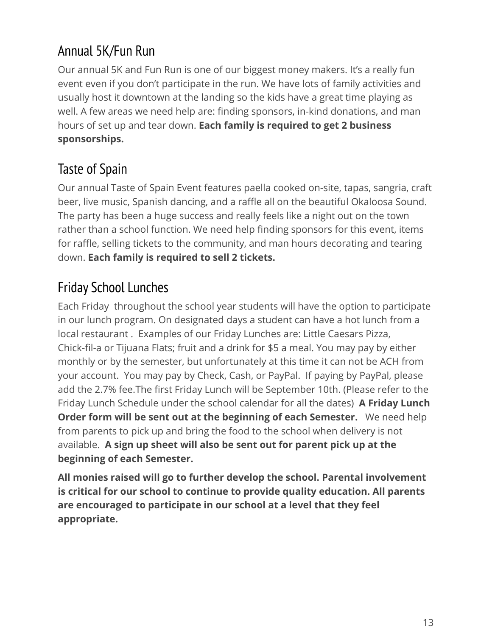# Annual 5K/Fun Run

Our annual 5K and Fun Run is one of our biggest money makers. It's a really fun event even if you don't participate in the run. We have lots of family activities and usually host it downtown at the landing so the kids have a great time playing as well. A few areas we need help are: finding sponsors, in-kind donations, and man hours of set up and tear down. **Each family is required to get 2 business sponsorships.**

# <span id="page-13-0"></span>Taste of Spain

Our annual Taste of Spain Event features paella cooked on-site, tapas, sangria, craft beer, live music, Spanish dancing, and a raffle all on the beautiful Okaloosa Sound. The party has been a huge success and really feels like a night out on the town rather than a school function. We need help finding sponsors for this event, items for raffle, selling tickets to the community, and man hours decorating and tearing down. **Each family is required to sell 2 tickets.**

### <span id="page-13-1"></span>Friday School Lunches

Each Friday throughout the school year students will have the option to participate in our lunch program. On designated days a student can have a hot lunch from a local restaurant . Examples of our Friday Lunches are: Little Caesars Pizza, Chick-fil-a or Tijuana Flats; fruit and a drink for \$5 a meal. You may pay by either monthly or by the semester, but unfortunately at this time it can not be ACH from your account. You may pay by Check, Cash, or PayPal. If paying by PayPal, please add the 2.7% fee.The first Friday Lunch will be September 10th. (Please refer to the Friday Lunch Schedule under the school calendar for all the dates) **A Friday Lunch Order form will be sent out at the beginning of each Semester.** We need help from parents to pick up and bring the food to the school when delivery is not available. **A sign up sheet will also be sent out for parent pick up at the beginning of each Semester.**

**All monies raised will go to further develop the school. Parental involvement is critical for our school to continue to provide quality education. All parents are encouraged to participate in our school at a level that they feel appropriate.**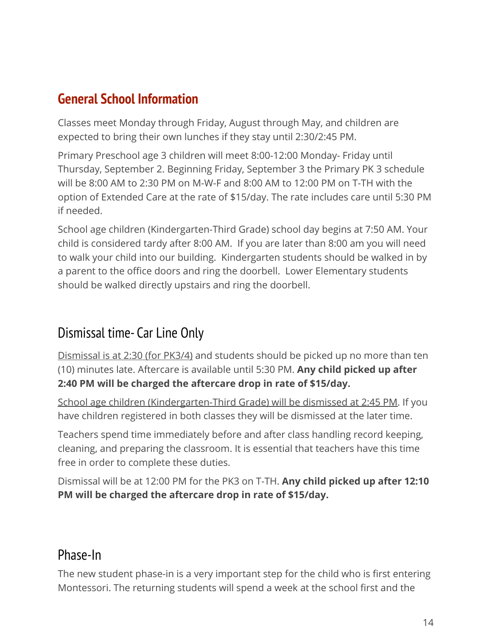#### **General School Information**

Classes meet Monday through Friday, August through May, and children are expected to bring their own lunches if they stay until 2:30/2:45 PM.

Primary Preschool age 3 children will meet 8:00-12:00 Monday- Friday until Thursday, September 2. Beginning Friday, September 3 the Primary PK 3 schedule will be 8:00 AM to 2:30 PM on M-W-F and 8:00 AM to 12:00 PM on T-TH with the option of Extended Care at the rate of \$15/day. The rate includes care until 5:30 PM if needed.

School age children (Kindergarten-Third Grade) school day begins at 7:50 AM. Your child is considered tardy after 8:00 AM. If you are later than 8:00 am you will need to walk your child into our building. Kindergarten students should be walked in by a parent to the office doors and ring the doorbell. Lower Elementary students should be walked directly upstairs and ring the doorbell.

#### Dismissal time- Car Line Only

Dismissal is at 2:30 (for PK3/4) and students should be picked up no more than ten (10) minutes late. Aftercare is available until 5:30 PM. **Any child picked up after 2:40 PM will be charged the aftercare drop in rate of \$15/day.**

School age children (Kindergarten-Third Grade) will be dismissed at 2:45 PM. If you have children registered in both classes they will be dismissed at the later time.

Teachers spend time immediately before and after class handling record keeping, cleaning, and preparing the classroom. It is essential that teachers have this time free in order to complete these duties.

<span id="page-14-0"></span>Dismissal will be at 12:00 PM for the PK3 on T-TH. **Any child picked up after 12:10 PM will be charged the aftercare drop in rate of \$15/day.**

#### Phase-In

The new student phase-in is a very important step for the child who is first entering Montessori. The returning students will spend a week at the school first and the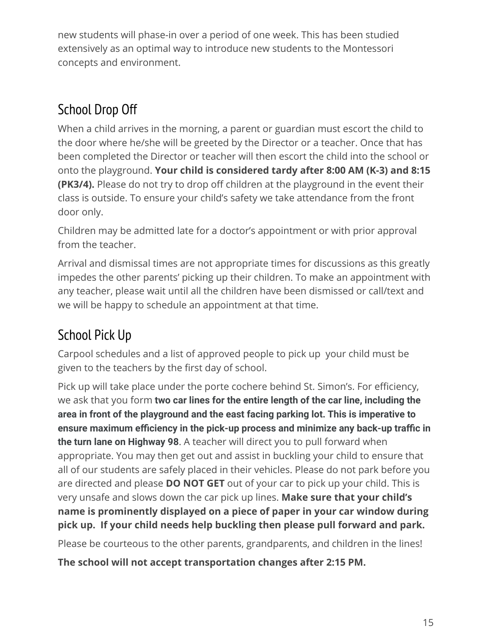new students will phase-in over a period of one week. This has been studied extensively as an optimal way to introduce new students to the Montessori concepts and environment.

# <span id="page-15-0"></span>School Drop Off

When a child arrives in the morning, a parent or guardian must escort the child to the door where he/she will be greeted by the Director or a teacher. Once that has been completed the Director or teacher will then escort the child into the school or onto the playground. **Your child is considered tardy after 8:00 AM (K-3) and 8:15 (PK3/4).** Please do not try to drop off children at the playground in the event their class is outside. To ensure your child's safety we take attendance from the front door only.

Children may be admitted late for a doctor's appointment or with prior approval from the teacher.

Arrival and dismissal times are not appropriate times for discussions as this greatly impedes the other parents' picking up their children. To make an appointment with any teacher, please wait until all the children have been dismissed or call/text and we will be happy to schedule an appointment at that time.

# <span id="page-15-1"></span>School Pick Up

Carpool schedules and a list of approved people to pick up your child must be given to the teachers by the first day of school.

Pick up will take place under the porte cochere behind St. Simon's. For efficiency, we ask that you form **two car lines for the entire length of the car line, including the area in front of the playground and the east facing parking lot. This is imperative to ensure maximum efficiency in the pick-up process and minimize any back-up traffic in the turn lane on Highway 98**. A teacher will direct you to pull forward when appropriate. You may then get out and assist in buckling your child to ensure that all of our students are safely placed in their vehicles. Please do not park before you are directed and please **DO NOT GET** out of your car to pick up your child. This is very unsafe and slows down the car pick up lines. **Make sure that your child's name is prominently displayed on a piece of paper in your car window during pick up. If your child needs help buckling then please pull forward and park.**

Please be courteous to the other parents, grandparents, and children in the lines!

**The school will not accept transportation changes after 2:15 PM.**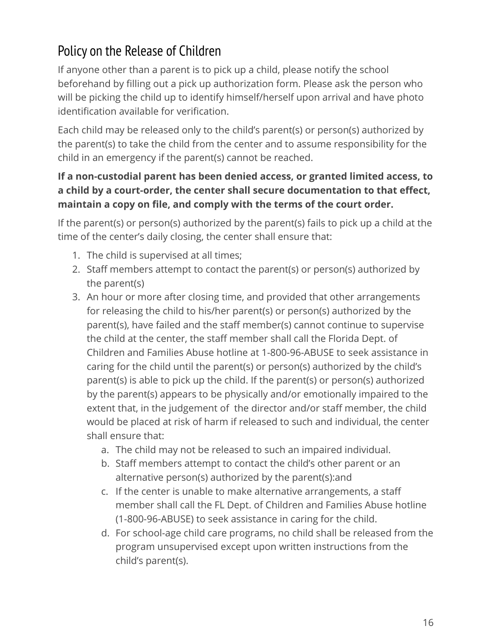# Policy on the Release of Children

If anyone other than a parent is to pick up a child, please notify the school beforehand by filling out a pick up authorization form. Please ask the person who will be picking the child up to identify himself/herself upon arrival and have photo identification available for verification.

Each child may be released only to the child's parent(s) or person(s) authorized by the parent(s) to take the child from the center and to assume responsibility for the child in an emergency if the parent(s) cannot be reached.

#### **If a non-custodial parent has been denied access, or granted limited access, to a child by a court-order, the center shall secure documentation to that effect, maintain a copy on file, and comply with the terms of the court order.**

If the parent(s) or person(s) authorized by the parent(s) fails to pick up a child at the time of the center's daily closing, the center shall ensure that:

- 1. The child is supervised at all times;
- 2. Staff members attempt to contact the parent(s) or person(s) authorized by the parent(s)
- 3. An hour or more after closing time, and provided that other arrangements for releasing the child to his/her parent(s) or person(s) authorized by the parent(s), have failed and the staff member(s) cannot continue to supervise the child at the center, the staff member shall call the Florida Dept. of Children and Families Abuse hotline at 1-800-96-ABUSE to seek assistance in caring for the child until the parent(s) or person(s) authorized by the child's parent(s) is able to pick up the child. If the parent(s) or person(s) authorized by the parent(s) appears to be physically and/or emotionally impaired to the extent that, in the judgement of the director and/or staff member, the child would be placed at risk of harm if released to such and individual, the center shall ensure that:
	- a. The child may not be released to such an impaired individual.
	- b. Staff members attempt to contact the child's other parent or an alternative person(s) authorized by the parent(s):and
	- c. If the center is unable to make alternative arrangements, a staff member shall call the FL Dept. of Children and Families Abuse hotline (1-800-96-ABUSE) to seek assistance in caring for the child.
	- d. For school-age child care programs, no child shall be released from the program unsupervised except upon written instructions from the child's parent(s).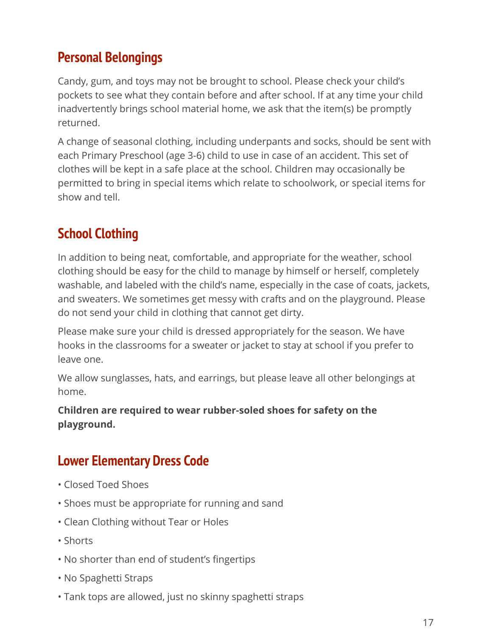#### <span id="page-17-0"></span>**Personal Belongings**

Candy, gum, and toys may not be brought to school. Please check your child's pockets to see what they contain before and after school. If at any time your child inadvertently brings school material home, we ask that the item(s) be promptly returned.

A change of seasonal clothing, including underpants and socks, should be sent with each Primary Preschool (age 3-6) child to use in case of an accident. This set of clothes will be kept in a safe place at the school. Children may occasionally be permitted to bring in special items which relate to schoolwork, or special items for show and tell.

#### <span id="page-17-1"></span>**School Clothing**

In addition to being neat, comfortable, and appropriate for the weather, school clothing should be easy for the child to manage by himself or herself, completely washable, and labeled with the child's name, especially in the case of coats, jackets, and sweaters. We sometimes get messy with crafts and on the playground. Please do not send your child in clothing that cannot get dirty.

Please make sure your child is dressed appropriately for the season. We have hooks in the classrooms for a sweater or jacket to stay at school if you prefer to leave one.

We allow sunglasses, hats, and earrings, but please leave all other belongings at home.

#### **Children are required to wear rubber-soled shoes for safety on the playground.**

#### **Lower Elementary Dress Code**

- Closed Toed Shoes
- Shoes must be appropriate for running and sand
- Clean Clothing without Tear or Holes
- Shorts
- No shorter than end of student's fingertips
- No Spaghetti Straps
- Tank tops are allowed, just no skinny spaghetti straps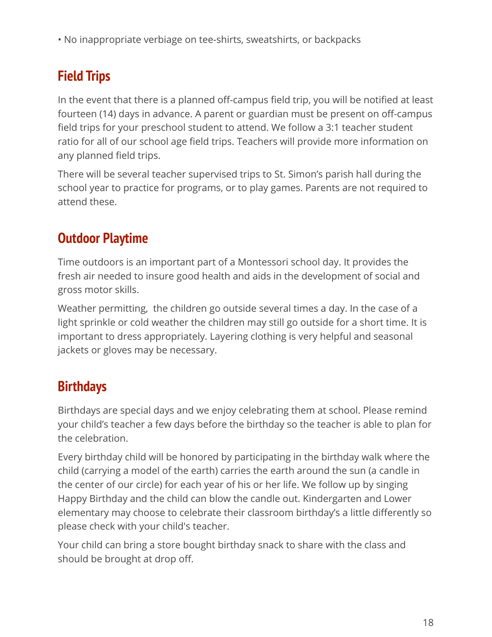• No inappropriate verbiage on tee-shirts, sweatshirts, or backpacks

# **Field Trips**

In the event that there is a planned off-campus field trip, you will be notified at least fourteen (14) days in advance. A parent or guardian must be present on off-campus field trips for your preschool student to attend. We follow a 3:1 teacher student ratio for all of our school age field trips. Teachers will provide more information on any planned field trips.

There will be several teacher supervised trips to St. Simon's parish hall during the school year to practice for programs, or to play games. Parents are not required to attend these.

#### **Outdoor Playtime**

Time outdoors is an important part of a Montessori school day. It provides the fresh air needed to insure good health and aids in the development of social and gross motor skills.

Weather permitting, the children go outside several times a day. In the case of a light sprinkle or cold weather the children may still go outside for a short time. It is important to dress appropriately. Layering clothing is very helpful and seasonal jackets or gloves may be necessary.

#### **Birthdays**

Birthdays are special days and we enjoy celebrating them at school. Please remind your child's teacher a few days before the birthday so the teacher is able to plan for the celebration.

Every birthday child will be honored by participating in the birthday walk where the child (carrying a model of the earth) carries the earth around the sun (a candle in the center of our circle) for each year of his or her life. We follow up by singing Happy Birthday and the child can blow the candle out. Kindergarten and Lower elementary may choose to celebrate their classroom birthday's a little differently so please check with your child's teacher.

Your child can bring a store bought birthday snack to share with the class and should be brought at drop off.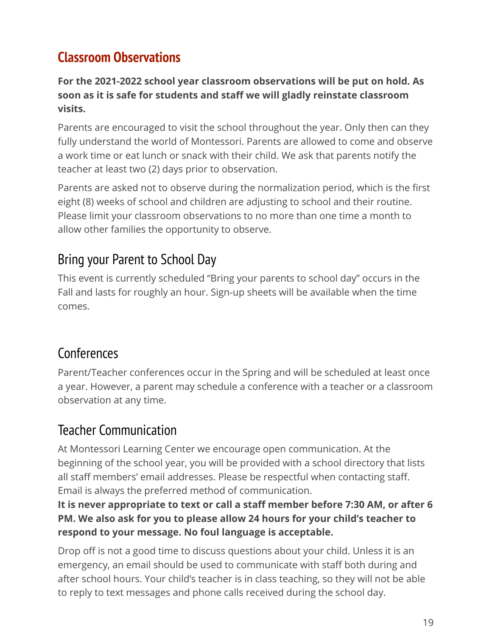#### <span id="page-19-0"></span>**Classroom Observations**

#### **For the 2021-2022 school year classroom observations will be put on hold. As soon as it is safe for students and staff we will gladly reinstate classroom visits.**

Parents are encouraged to visit the school throughout the year. Only then can they fully understand the world of Montessori. Parents are allowed to come and observe a work time or eat lunch or snack with their child. We ask that parents notify the teacher at least two (2) days prior to observation.

Parents are asked not to observe during the normalization period, which is the first eight (8) weeks of school and children are adjusting to school and their routine. Please limit your classroom observations to no more than one time a month to allow other families the opportunity to observe.

#### <span id="page-19-1"></span>Bring your Parent to School Day

This event is currently scheduled "Bring your parents to school day" occurs in the Fall and lasts for roughly an hour. Sign-up sheets will be available when the time comes.

#### **Conferences**

Parent/Teacher conferences occur in the Spring and will be scheduled at least once a year. However, a parent may schedule a conference with a teacher or a classroom observation at any time.

#### <span id="page-19-2"></span>Teacher Communication

At Montessori Learning Center we encourage open communication. At the beginning of the school year, you will be provided with a school directory that lists all staff members' email addresses. Please be respectful when contacting staff. Email is always the preferred method of communication.

#### **It is never appropriate to text or call a staff member before 7:30 AM, or after 6 PM. We also ask for you to please allow 24 hours for your child's teacher to respond to your message. No foul language is acceptable.**

Drop off is not a good time to discuss questions about your child. Unless it is an emergency, an email should be used to communicate with staff both during and after school hours. Your child's teacher is in class teaching, so they will not be able to reply to text messages and phone calls received during the school day.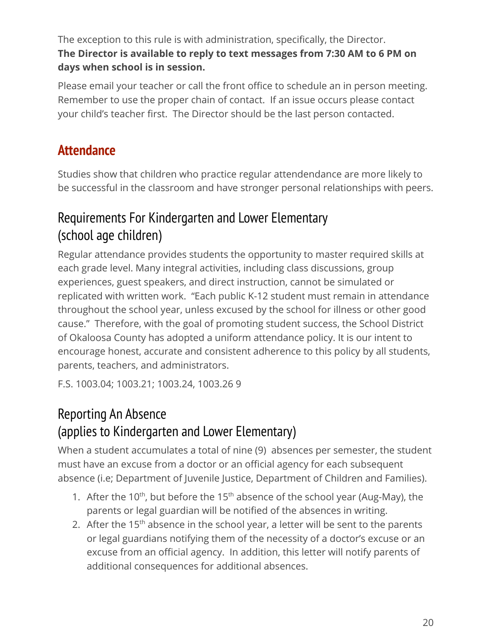The exception to this rule is with administration, specifically, the Director. **The Director is available to reply to text messages from 7:30 AM to 6 PM on days when school is in session.**

Please email your teacher or call the front office to schedule an in person meeting. Remember to use the proper chain of contact. If an issue occurs please contact your child's teacher first. The Director should be the last person contacted.

#### **Attendance**

Studies show that children who practice regular attendendance are more likely to be successful in the classroom and have stronger personal relationships with peers.

#### <span id="page-20-0"></span>Requirements For Kindergarten and Lower Elementary (school age children)

Regular attendance provides students the opportunity to master required skills at each grade level. Many integral activities, including class discussions, group experiences, guest speakers, and direct instruction, cannot be simulated or replicated with written work. "Each public K-12 student must remain in attendance throughout the school year, unless excused by the school for illness or other good cause." Therefore, with the goal of promoting student success, the School District of Okaloosa County has adopted a uniform attendance policy. It is our intent to encourage honest, accurate and consistent adherence to this policy by all students, parents, teachers, and administrators.

F.S. 1003.04; 1003.21; 1003.24, 1003.26 9

### <span id="page-20-1"></span>Reporting An Absence (applies to Kindergarten and Lower Elementary)

When a student accumulates a total of nine (9) absences per semester, the student must have an excuse from a doctor or an official agency for each subsequent absence (i.e; Department of Juvenile Justice, Department of Children and Families).

- 1. After the 10<sup>th</sup>, but before the 15<sup>th</sup> absence of the school year (Aug-May), the parents or legal guardian will be notified of the absences in writing.
- 2. After the  $15<sup>th</sup>$  absence in the school year, a letter will be sent to the parents or legal guardians notifying them of the necessity of a doctor's excuse or an excuse from an official agency. In addition, this letter will notify parents of additional consequences for additional absences.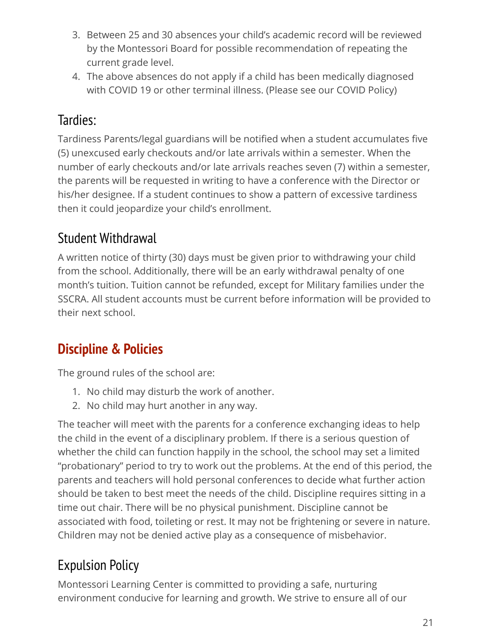- 3. Between 25 and 30 absences your child's academic record will be reviewed by the Montessori Board for possible recommendation of repeating the current grade level.
- 4. The above absences do not apply if a child has been medically diagnosed with COVID 19 or other terminal illness. (Please see our COVID Policy)

# <span id="page-21-0"></span>Tardies:

Tardiness Parents/legal guardians will be notified when a student accumulates five (5) unexcused early checkouts and/or late arrivals within a semester. When the number of early checkouts and/or late arrivals reaches seven (7) within a semester, the parents will be requested in writing to have a conference with the Director or his/her designee. If a student continues to show a pattern of excessive tardiness then it could jeopardize your child's enrollment.

#### <span id="page-21-1"></span>Student Withdrawal

A written notice of thirty (30) days must be given prior to withdrawing your child from the school. Additionally, there will be an early withdrawal penalty of one month's tuition. Tuition cannot be refunded, except for Military families under the SSCRA. All student accounts must be current before information will be provided to their next school.

# **Discipline & Policies**

The ground rules of the school are:

- 1. No child may disturb the work of another.
- 2. No child may hurt another in any way.

The teacher will meet with the parents for a conference exchanging ideas to help the child in the event of a disciplinary problem. If there is a serious question of whether the child can function happily in the school, the school may set a limited "probationary" period to try to work out the problems. At the end of this period, the parents and teachers will hold personal conferences to decide what further action should be taken to best meet the needs of the child. Discipline requires sitting in a time out chair. There will be no physical punishment. Discipline cannot be associated with food, toileting or rest. It may not be frightening or severe in nature. Children may not be denied active play as a consequence of misbehavior.

# <span id="page-21-2"></span>Expulsion Policy

Montessori Learning Center is committed to providing a safe, nurturing environment conducive for learning and growth. We strive to ensure all of our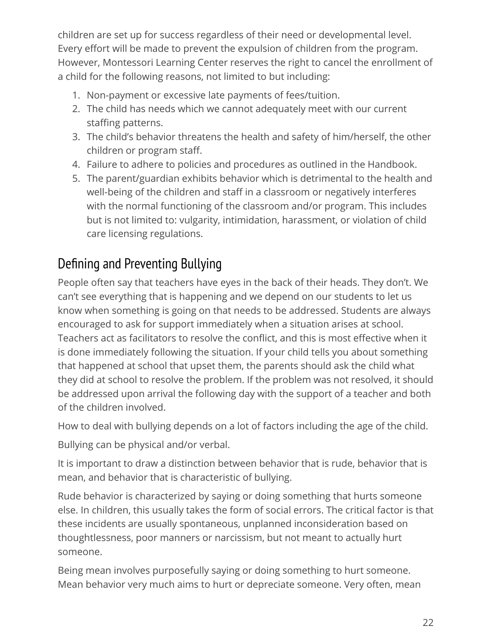children are set up for success regardless of their need or developmental level. Every effort will be made to prevent the expulsion of children from the program. However, Montessori Learning Center reserves the right to cancel the enrollment of a child for the following reasons, not limited to but including:

- 1. Non-payment or excessive late payments of fees/tuition.
- 2. The child has needs which we cannot adequately meet with our current staffing patterns.
- 3. The child's behavior threatens the health and safety of him/herself, the other children or program staff.
- 4. Failure to adhere to policies and procedures as outlined in the Handbook.
- 5. The parent/guardian exhibits behavior which is detrimental to the health and well-being of the children and staff in a classroom or negatively interferes with the normal functioning of the classroom and/or program. This includes but is not limited to: vulgarity, intimidation, harassment, or violation of child care licensing regulations.

# <span id="page-22-0"></span>Defining and Preventing Bullying

People often say that teachers have eyes in the back of their heads. They don't. We can't see everything that is happening and we depend on our students to let us know when something is going on that needs to be addressed. Students are always encouraged to ask for support immediately when a situation arises at school. Teachers act as facilitators to resolve the conflict, and this is most effective when it is done immediately following the situation. If your child tells you about something that happened at school that upset them, the parents should ask the child what they did at school to resolve the problem. If the problem was not resolved, it should be addressed upon arrival the following day with the support of a teacher and both of the children involved.

How to deal with bullying depends on a lot of factors including the age of the child.

Bullying can be physical and/or verbal.

It is important to draw a distinction between behavior that is rude, behavior that is mean, and behavior that is characteristic of bullying.

Rude behavior is characterized by saying or doing something that hurts someone else. In children, this usually takes the form of social errors. The critical factor is that these incidents are usually spontaneous, unplanned inconsideration based on thoughtlessness, poor manners or narcissism, but not meant to actually hurt someone.

Being mean involves purposefully saying or doing something to hurt someone. Mean behavior very much aims to hurt or depreciate someone. Very often, mean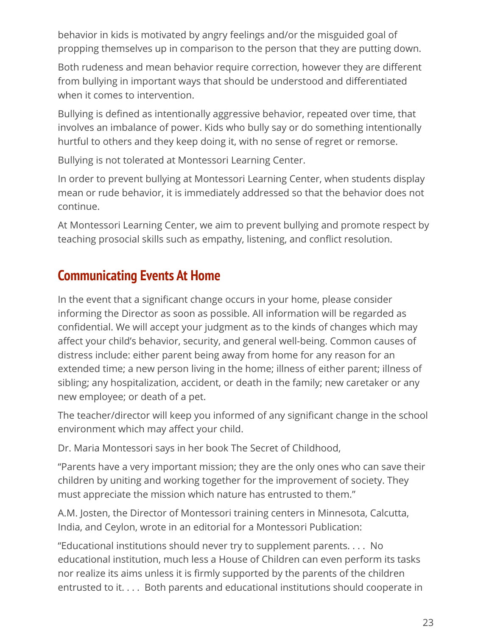behavior in kids is motivated by angry feelings and/or the misguided goal of propping themselves up in comparison to the person that they are putting down.

Both rudeness and mean behavior require correction, however they are different from bullying in important ways that should be understood and differentiated when it comes to intervention.

Bullying is defined as intentionally aggressive behavior, repeated over time, that involves an imbalance of power. Kids who bully say or do something intentionally hurtful to others and they keep doing it, with no sense of regret or remorse.

Bullying is not tolerated at Montessori Learning Center.

In order to prevent bullying at Montessori Learning Center, when students display mean or rude behavior, it is immediately addressed so that the behavior does not continue.

At Montessori Learning Center, we aim to prevent bullying and promote respect by teaching prosocial skills such as empathy, listening, and conflict resolution.

#### **Communicating Events At Home**

In the event that a significant change occurs in your home, please consider informing the Director as soon as possible. All information will be regarded as confidential. We will accept your judgment as to the kinds of changes which may affect your child's behavior, security, and general well-being. Common causes of distress include: either parent being away from home for any reason for an extended time; a new person living in the home; illness of either parent; illness of sibling; any hospitalization, accident, or death in the family; new caretaker or any new employee; or death of a pet.

The teacher/director will keep you informed of any significant change in the school environment which may affect your child.

Dr. Maria Montessori says in her book The Secret of Childhood,

"Parents have a very important mission; they are the only ones who can save their children by uniting and working together for the improvement of society. They must appreciate the mission which nature has entrusted to them."

A.M. Josten, the Director of Montessori training centers in Minnesota, Calcutta, India, and Ceylon, wrote in an editorial for a Montessori Publication:

"Educational institutions should never try to supplement parents. . . . No educational institution, much less a House of Children can even perform its tasks nor realize its aims unless it is firmly supported by the parents of the children entrusted to it. . . . Both parents and educational institutions should cooperate in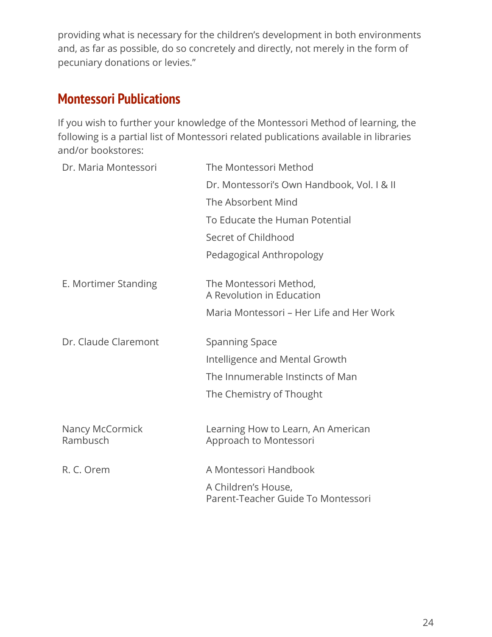providing what is necessary for the children's development in both environments and, as far as possible, do so concretely and directly, not merely in the form of pecuniary donations or levies."

#### <span id="page-24-0"></span>**Montessori Publications**

If you wish to further your knowledge of the Montessori Method of learning, the following is a partial list of Montessori related publications available in libraries and/or bookstores:

| The Montessori Method                                     |
|-----------------------------------------------------------|
| Dr. Montessori's Own Handbook, Vol. I & II                |
| The Absorbent Mind                                        |
| To Educate the Human Potential                            |
| Secret of Childhood                                       |
| Pedagogical Anthropology                                  |
| The Montessori Method,<br>A Revolution in Education       |
| Maria Montessori - Her Life and Her Work                  |
| <b>Spanning Space</b>                                     |
| Intelligence and Mental Growth                            |
| The Innumerable Instincts of Man                          |
| The Chemistry of Thought                                  |
| Learning How to Learn, An American                        |
| Approach to Montessori                                    |
| A Montessori Handbook                                     |
| A Children's House,<br>Parent-Teacher Guide To Montessori |
|                                                           |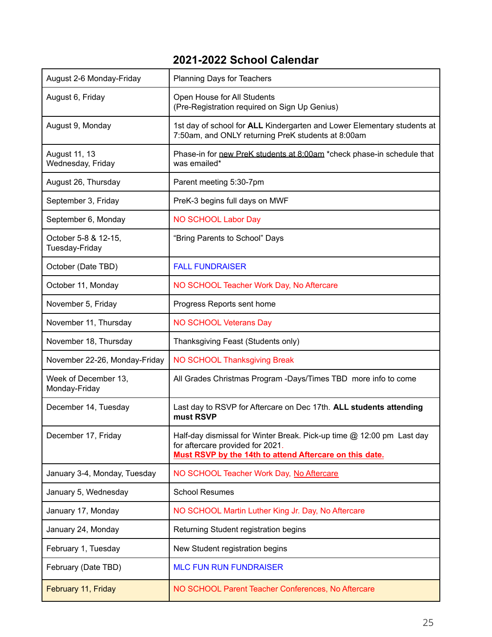#### **2021-2022 School Calendar**

| August 2-6 Monday-Friday               | Planning Days for Teachers                                                                                                                                           |  |  |
|----------------------------------------|----------------------------------------------------------------------------------------------------------------------------------------------------------------------|--|--|
| August 6, Friday                       | Open House for All Students<br>(Pre-Registration required on Sign Up Genius)                                                                                         |  |  |
| August 9, Monday                       | 1st day of school for ALL Kindergarten and Lower Elementary students at<br>7:50am, and ONLY returning PreK students at 8:00am                                        |  |  |
| August 11, 13<br>Wednesday, Friday     | Phase-in for new PreK students at 8:00am *check phase-in schedule that<br>was emailed*                                                                               |  |  |
| August 26, Thursday                    | Parent meeting 5:30-7pm                                                                                                                                              |  |  |
| September 3, Friday                    | PreK-3 begins full days on MWF                                                                                                                                       |  |  |
| September 6, Monday                    | <b>NO SCHOOL Labor Day</b>                                                                                                                                           |  |  |
| October 5-8 & 12-15,<br>Tuesday-Friday | "Bring Parents to School" Days                                                                                                                                       |  |  |
| October (Date TBD)                     | <b>FALL FUNDRAISER</b>                                                                                                                                               |  |  |
| October 11, Monday                     | NO SCHOOL Teacher Work Day, No Aftercare                                                                                                                             |  |  |
| November 5, Friday                     | Progress Reports sent home                                                                                                                                           |  |  |
| November 11, Thursday                  | <b>NO SCHOOL Veterans Day</b>                                                                                                                                        |  |  |
| November 18, Thursday                  | Thanksgiving Feast (Students only)                                                                                                                                   |  |  |
| November 22-26, Monday-Friday          | NO SCHOOL Thanksgiving Break                                                                                                                                         |  |  |
| Week of December 13,<br>Monday-Friday  | All Grades Christmas Program -Days/Times TBD more info to come                                                                                                       |  |  |
| December 14, Tuesday                   | Last day to RSVP for Aftercare on Dec 17th. ALL students attending<br>must RSVP                                                                                      |  |  |
| December 17, Friday                    | Half-day dismissal for Winter Break. Pick-up time @ 12:00 pm Last day<br>for aftercare provided for 2021.<br>Must RSVP by the 14th to attend Aftercare on this date. |  |  |
| January 3-4, Monday, Tuesday           | NO SCHOOL Teacher Work Day, No Aftercare                                                                                                                             |  |  |
| January 5, Wednesday                   | <b>School Resumes</b>                                                                                                                                                |  |  |
| January 17, Monday                     | NO SCHOOL Martin Luther King Jr. Day, No Aftercare                                                                                                                   |  |  |
| January 24, Monday                     | Returning Student registration begins                                                                                                                                |  |  |
| February 1, Tuesday                    | New Student registration begins                                                                                                                                      |  |  |
| February (Date TBD)                    | <b>MLC FUN RUN FUNDRAISER</b>                                                                                                                                        |  |  |
| February 11, Friday                    | NO SCHOOL Parent Teacher Conferences, No Aftercare                                                                                                                   |  |  |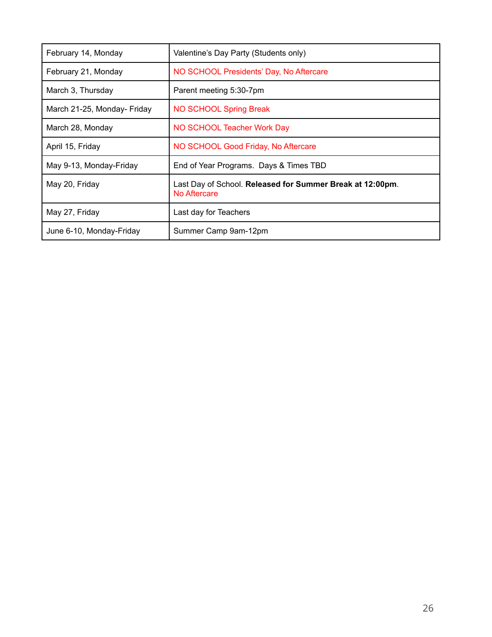| February 14, Monday         | Valentine's Day Party (Students only)                                     |  |  |
|-----------------------------|---------------------------------------------------------------------------|--|--|
| February 21, Monday         | NO SCHOOL Presidents' Day, No Aftercare                                   |  |  |
| March 3, Thursday           | Parent meeting 5:30-7pm                                                   |  |  |
| March 21-25, Monday- Friday | NO SCHOOL Spring Break                                                    |  |  |
| March 28, Monday            | NO SCHOOL Teacher Work Day                                                |  |  |
| April 15, Friday            | NO SCHOOL Good Friday, No Aftercare                                       |  |  |
| May 9-13, Monday-Friday     | End of Year Programs. Days & Times TBD                                    |  |  |
| May 20, Friday              | Last Day of School. Released for Summer Break at 12:00pm.<br>No Aftercare |  |  |
| May 27, Friday              | Last day for Teachers                                                     |  |  |
| June 6-10, Monday-Friday    | Summer Camp 9am-12pm                                                      |  |  |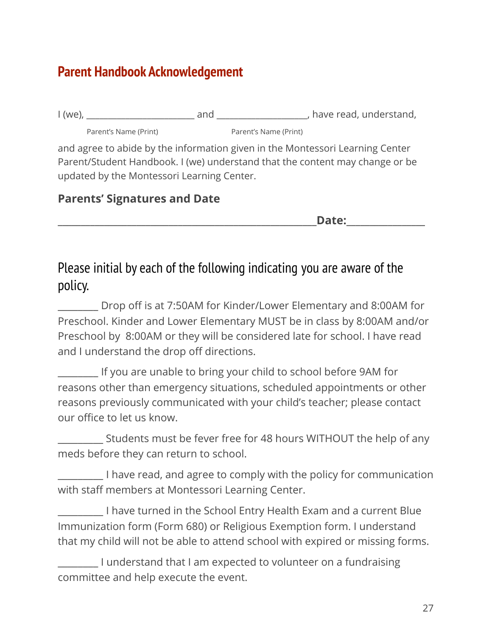#### **Parent Handbook Acknowledgement**

| $1$ (we),             | and | , have read, understand, |
|-----------------------|-----|--------------------------|
| Parent's Name (Print) |     | Parent's Name (Print)    |

and agree to abide by the information given in the Montessori Learning Center Parent/Student Handbook. I (we) understand that the content may change or be updated by the Montessori Learning Center.

#### **Parents' Signatures and Date**

**\_\_\_\_\_\_\_\_\_\_\_\_\_\_\_\_\_\_\_\_\_\_\_\_\_\_\_\_\_\_\_\_\_\_\_\_\_\_\_\_\_\_\_\_\_\_\_\_\_\_\_\_\_\_\_\_Date:\_\_\_\_\_\_\_\_\_\_\_\_\_\_\_\_\_**

#### Please initial by each of the following indicating you are aware of the policy.

\_\_\_\_\_\_\_\_ Drop off is at 7:50AM for Kinder/Lower Elementary and 8:00AM for Preschool. Kinder and Lower Elementary MUST be in class by 8:00AM and/or Preschool by 8:00AM or they will be considered late for school. I have read and I understand the drop off directions.

\_\_\_\_\_\_\_\_ If you are unable to bring your child to school before 9AM for reasons other than emergency situations, scheduled appointments or other reasons previously communicated with your child's teacher; please contact our office to let us know.

\_\_\_\_\_\_\_\_\_ Students must be fever free for 48 hours WITHOUT the help of any meds before they can return to school.

\_\_\_\_\_\_\_\_\_ I have read, and agree to comply with the policy for communication with staff members at Montessori Learning Center.

\_\_\_\_\_\_\_\_\_ I have turned in the School Entry Health Exam and a current Blue Immunization form (Form 680) or Religious Exemption form. I understand that my child will not be able to attend school with expired or missing forms.

\_\_\_\_\_\_\_\_ I understand that I am expected to volunteer on a fundraising committee and help execute the event.